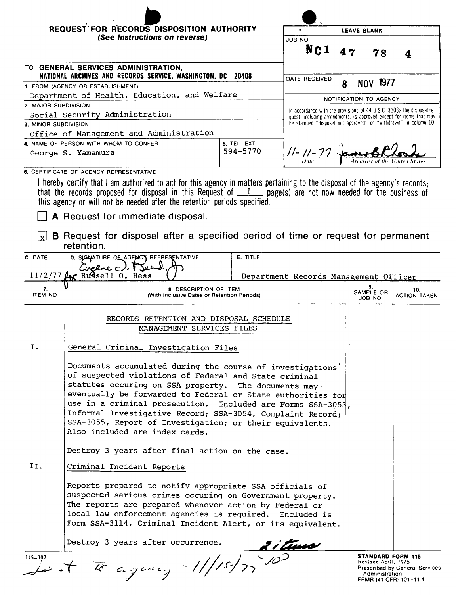|                                                                                                                                                                                                                                                                                                                         | <b>REQUEST FOR RECORDS DISPOSITION AUTHORITY</b><br>(See Instructions on reverse)                                                                                                                                                                                                                                                                                                                                                                                     |                                                                      | LEAVE BLANK.                                                                                                                                                                                                                    |                           |                            |  |
|-------------------------------------------------------------------------------------------------------------------------------------------------------------------------------------------------------------------------------------------------------------------------------------------------------------------------|-----------------------------------------------------------------------------------------------------------------------------------------------------------------------------------------------------------------------------------------------------------------------------------------------------------------------------------------------------------------------------------------------------------------------------------------------------------------------|----------------------------------------------------------------------|---------------------------------------------------------------------------------------------------------------------------------------------------------------------------------------------------------------------------------|---------------------------|----------------------------|--|
|                                                                                                                                                                                                                                                                                                                         |                                                                                                                                                                                                                                                                                                                                                                                                                                                                       |                                                                      | JOB NO                                                                                                                                                                                                                          |                           |                            |  |
|                                                                                                                                                                                                                                                                                                                         |                                                                                                                                                                                                                                                                                                                                                                                                                                                                       |                                                                      | NC <sub>1</sub>                                                                                                                                                                                                                 | 47<br>78                  |                            |  |
| TO GENERAL SERVICES ADMINISTRATION,<br>NATIONAL ARCHIVES AND RECORDS SERVICE, WASHINGTON, DC 20408                                                                                                                                                                                                                      |                                                                                                                                                                                                                                                                                                                                                                                                                                                                       |                                                                      |                                                                                                                                                                                                                                 |                           |                            |  |
| 1. FROM (AGENCY OR ESTABLISHMENT)                                                                                                                                                                                                                                                                                       |                                                                                                                                                                                                                                                                                                                                                                                                                                                                       |                                                                      | DATE RECEIVED<br>1977<br>8<br>NOV.                                                                                                                                                                                              |                           |                            |  |
|                                                                                                                                                                                                                                                                                                                         | Department of Health, Education, and Welfare                                                                                                                                                                                                                                                                                                                                                                                                                          |                                                                      |                                                                                                                                                                                                                                 | NOTIFICATION TO AGENCY    |                            |  |
| 2. MAJOR SUBDIVISION                                                                                                                                                                                                                                                                                                    |                                                                                                                                                                                                                                                                                                                                                                                                                                                                       |                                                                      | In accordance with the provisions of $44 \text{ U } S \text{ C } 3303$ the disposal re-<br>quest, including amendments, is approved except for items that may<br>be stamped "disposal not approved" or "withdrawn" in column 10 |                           |                            |  |
| Social Security Administration<br>3. MINOR SUBDIVISION                                                                                                                                                                                                                                                                  |                                                                                                                                                                                                                                                                                                                                                                                                                                                                       |                                                                      |                                                                                                                                                                                                                                 |                           |                            |  |
| Office of Management and Administration                                                                                                                                                                                                                                                                                 |                                                                                                                                                                                                                                                                                                                                                                                                                                                                       |                                                                      |                                                                                                                                                                                                                                 |                           |                            |  |
| 4. NAME OF PERSON WITH WHOM TO CONFER<br>5. TEL EXT<br>594-5770<br>George S. Yamamura                                                                                                                                                                                                                                   |                                                                                                                                                                                                                                                                                                                                                                                                                                                                       |                                                                      | <u>  -   - 77</u>                                                                                                                                                                                                               |                           |                            |  |
|                                                                                                                                                                                                                                                                                                                         | 6. CERTIFICATE OF AGENCY REPRESENTATIVE                                                                                                                                                                                                                                                                                                                                                                                                                               |                                                                      |                                                                                                                                                                                                                                 | Archmist of the           |                            |  |
| I hereby certify that I am authorized to act for this agency in matters pertaining to the disposal of the agency's records;<br>that the records proposed for disposal in this Request of $1$ page(s) are not now needed for the business of<br>this agency or will not be needed after the retention periods specified. |                                                                                                                                                                                                                                                                                                                                                                                                                                                                       |                                                                      |                                                                                                                                                                                                                                 |                           |                            |  |
| <b>A</b> Request for immediate disposal.                                                                                                                                                                                                                                                                                |                                                                                                                                                                                                                                                                                                                                                                                                                                                                       |                                                                      |                                                                                                                                                                                                                                 |                           |                            |  |
| <b>B</b> Request for disposal after a specified period of time or request for permanent<br>l x l<br>retention.                                                                                                                                                                                                          |                                                                                                                                                                                                                                                                                                                                                                                                                                                                       |                                                                      |                                                                                                                                                                                                                                 |                           |                            |  |
| C. DATE                                                                                                                                                                                                                                                                                                                 | D. SIGNATURE OF AGENCY REPRESENTATIVE<br>E. TITLE                                                                                                                                                                                                                                                                                                                                                                                                                     |                                                                      |                                                                                                                                                                                                                                 |                           |                            |  |
|                                                                                                                                                                                                                                                                                                                         | Cuelse c<br>$11/2/77$ $\mu$ Russell 0. Hess<br>Department Records Management Officer                                                                                                                                                                                                                                                                                                                                                                                  |                                                                      |                                                                                                                                                                                                                                 |                           |                            |  |
| 7.<br><b>ITEM NO</b>                                                                                                                                                                                                                                                                                                    | 8. DESCRIPTION OF ITEM<br>(With Inclusive Dates or Retention Periods)                                                                                                                                                                                                                                                                                                                                                                                                 |                                                                      |                                                                                                                                                                                                                                 | 9.<br>SAMPLE OR<br>JOB NO | 10.<br><b>ACTION TAKEN</b> |  |
|                                                                                                                                                                                                                                                                                                                         |                                                                                                                                                                                                                                                                                                                                                                                                                                                                       | RECORDS RETENTION AND DISPOSAL SCHEDULE<br>MANAGEMENT SERVICES FILES |                                                                                                                                                                                                                                 |                           |                            |  |
| Ι.                                                                                                                                                                                                                                                                                                                      | General Criminal Investigation Files                                                                                                                                                                                                                                                                                                                                                                                                                                  |                                                                      |                                                                                                                                                                                                                                 |                           |                            |  |
|                                                                                                                                                                                                                                                                                                                         | Documents accumulated during the course of investigations'<br>of suspected violations of Federal and State criminal<br>statutes occuring on SSA property. The documents may<br>eventually be forwarded to Federal or State authorities for<br>use in a criminal prosecution. Included are Forms SSA-3053,<br>Informal Investigative Record; SSA-3054, Complaint Record;<br>SSA-3055, Report of Investigation; or their equivalents.<br>Also included are index cards. |                                                                      |                                                                                                                                                                                                                                 |                           |                            |  |
| Destroy 3 years after final action on the case.                                                                                                                                                                                                                                                                         |                                                                                                                                                                                                                                                                                                                                                                                                                                                                       |                                                                      |                                                                                                                                                                                                                                 |                           |                            |  |
| II.<br>Criminal Incident Reports                                                                                                                                                                                                                                                                                        |                                                                                                                                                                                                                                                                                                                                                                                                                                                                       |                                                                      |                                                                                                                                                                                                                                 |                           |                            |  |
|                                                                                                                                                                                                                                                                                                                         | Reports prepared to notify appropriate SSA officials of<br>suspected serious crimes occuring on Government property.<br>The reports are prepared whenever action by Federal or<br>local law enforcement agencies is required. Included is<br>Form SSA-3114, Criminal Incident Alert, or its equivalent.                                                                                                                                                               |                                                                      |                                                                                                                                                                                                                                 |                           |                            |  |

Destroy 3 years after occurrence.

 $115-107$ 

**STANDARD FORM 115**<br>Revised April, 1975<br>Prescribed by General Service  $\frac{3}{15-107}$  and  $\frac{3}{10}$  and  $\frac{3}{10}$  and  $\frac{3}{10}$  and  $\frac{3}{10}$  and  $\frac{3}{10}$  are  $\frac{3}{10}$  and  $\frac{3}{10}$  and  $\frac{3}{10}$  and  $\frac{3}{10}$  and  $\frac{3}{10}$  and  $\frac{3}{10}$  and  $\frac{3}{10}$  and  $\frac{3}{10}$  and  $\frac{3}{1$ FPMR (41 CFR) 101-114